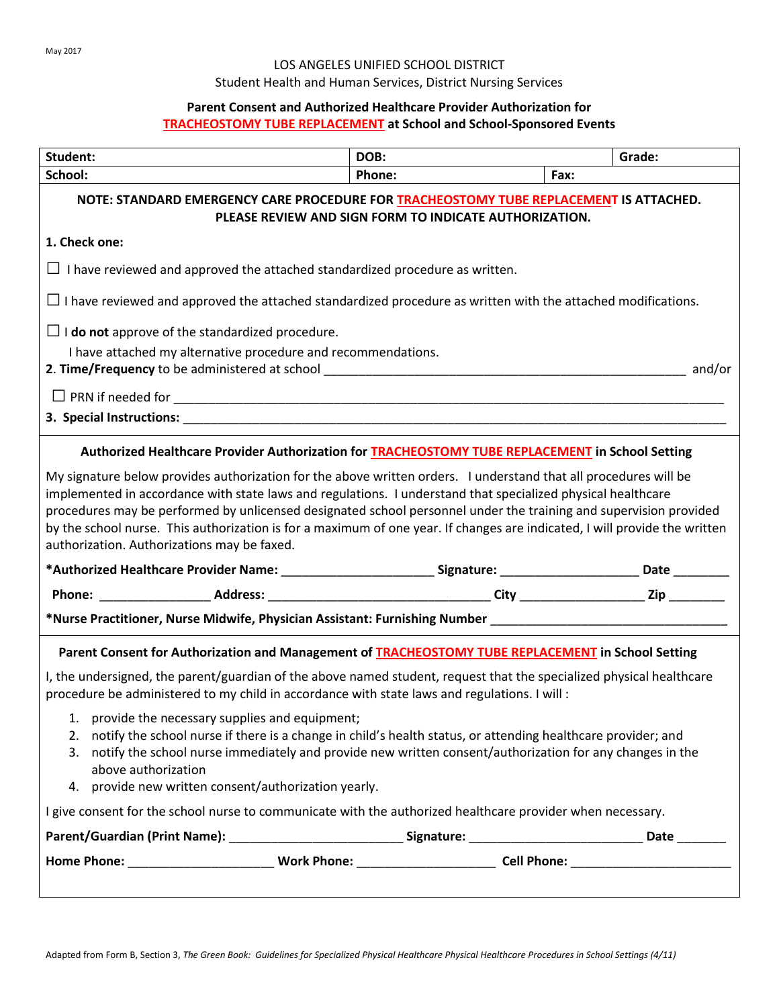#### LOS ANGELES UNIFIED SCHOOL DISTRICT

# Student Health and Human Services, District Nursing Services

## **Parent Consent and Authorized Healthcare Provider Authorization for TRACHEOSTOMY TUBE REPLACEMENT at School and School-Sponsored Events**

| Student:                                                                                                                                                                                                                                                                                                                                                                                                                                                                                                                               | DOB:   | Grade: |  |
|----------------------------------------------------------------------------------------------------------------------------------------------------------------------------------------------------------------------------------------------------------------------------------------------------------------------------------------------------------------------------------------------------------------------------------------------------------------------------------------------------------------------------------------|--------|--------|--|
| School:                                                                                                                                                                                                                                                                                                                                                                                                                                                                                                                                | Phone: | Fax:   |  |
| NOTE: STANDARD EMERGENCY CARE PROCEDURE FOR TRACHEOSTOMY TUBE REPLACEMENT IS ATTACHED.<br>PLEASE REVIEW AND SIGN FORM TO INDICATE AUTHORIZATION.                                                                                                                                                                                                                                                                                                                                                                                       |        |        |  |
| 1. Check one:                                                                                                                                                                                                                                                                                                                                                                                                                                                                                                                          |        |        |  |
| $\Box$ I have reviewed and approved the attached standardized procedure as written.                                                                                                                                                                                                                                                                                                                                                                                                                                                    |        |        |  |
| $\Box$ I have reviewed and approved the attached standardized procedure as written with the attached modifications.                                                                                                                                                                                                                                                                                                                                                                                                                    |        |        |  |
| $\Box$ <b>I do not</b> approve of the standardized procedure.                                                                                                                                                                                                                                                                                                                                                                                                                                                                          |        |        |  |
| I have attached my alternative procedure and recommendations.                                                                                                                                                                                                                                                                                                                                                                                                                                                                          |        |        |  |
|                                                                                                                                                                                                                                                                                                                                                                                                                                                                                                                                        |        |        |  |
| 3. Special Instructions: University of the contract of the contract of the contract of the contract of the contract of the contract of the contract of the contract of the contract of the contract of the contract of the con                                                                                                                                                                                                                                                                                                         |        |        |  |
| Authorized Healthcare Provider Authorization for TRACHEOSTOMY TUBE REPLACEMENT in School Setting                                                                                                                                                                                                                                                                                                                                                                                                                                       |        |        |  |
| implemented in accordance with state laws and regulations. I understand that specialized physical healthcare<br>procedures may be performed by unlicensed designated school personnel under the training and supervision provided<br>by the school nurse. This authorization is for a maximum of one year. If changes are indicated, I will provide the written<br>authorization. Authorizations may be faxed.<br>*Authorized Healthcare Provider Name: ___________________________Signature: _________________________Date __________ |        |        |  |
|                                                                                                                                                                                                                                                                                                                                                                                                                                                                                                                                        |        |        |  |
| *Nurse Practitioner, Nurse Midwife, Physician Assistant: Furnishing Number ___________________________________                                                                                                                                                                                                                                                                                                                                                                                                                         |        |        |  |
| Parent Consent for Authorization and Management of TRACHEOSTOMY TUBE REPLACEMENT in School Setting                                                                                                                                                                                                                                                                                                                                                                                                                                     |        |        |  |
| I, the undersigned, the parent/guardian of the above named student, request that the specialized physical healthcare<br>procedure be administered to my child in accordance with state laws and regulations. I will :                                                                                                                                                                                                                                                                                                                  |        |        |  |
| 1. provide the necessary supplies and equipment;<br>2. notify the school nurse if there is a change in child's health status, or attending healthcare provider; and<br>3. notify the school nurse immediately and provide new written consent/authorization for any changes in the<br>above authorization<br>4. provide new written consent/authorization yearly.                                                                                                                                                                      |        |        |  |
| I give consent for the school nurse to communicate with the authorized healthcare provider when necessary.                                                                                                                                                                                                                                                                                                                                                                                                                             |        |        |  |
|                                                                                                                                                                                                                                                                                                                                                                                                                                                                                                                                        |        |        |  |
|                                                                                                                                                                                                                                                                                                                                                                                                                                                                                                                                        |        |        |  |
|                                                                                                                                                                                                                                                                                                                                                                                                                                                                                                                                        |        |        |  |